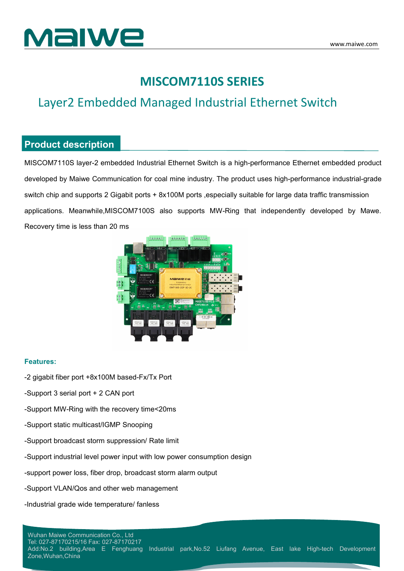

## **MISCOM7110S SERIES**

## Layer2 Embedded Managed Industrial Ethernet Switch

#### **Product description**

MISCOM7110S layer-2 embedded Industrial Ethernet Switch is a high-performance Ethernet embedded product developed by Maiwe Communication for coal mine industry. The product uses high-performance industrial-grade switch chip and supports 2 Gigabit ports + 8x100M ports , especially suitable for large data traffic transmission applications. Meanwhile,MISCOM7100S also supports MW-Ring that independently developed by Mawe. Recovery time is less than 20 ms



#### **Features:**

- -2 gigabit fiber port +8x100M based-Fx/Tx Port
- -Support 3 serial port + 2 CAN port
- -Support MW-Ring with the recovery time<20ms
- -Support static multicast/IGMP Snooping
- -Support broadcast storm suppression/ Rate limit
- -Support industrial level power input with low power consumption design
- -support power loss, fiber drop, broadcast storm alarm output
- -Support VLAN/Qos and other web management
- -Industrial grade wide temperature/ fanless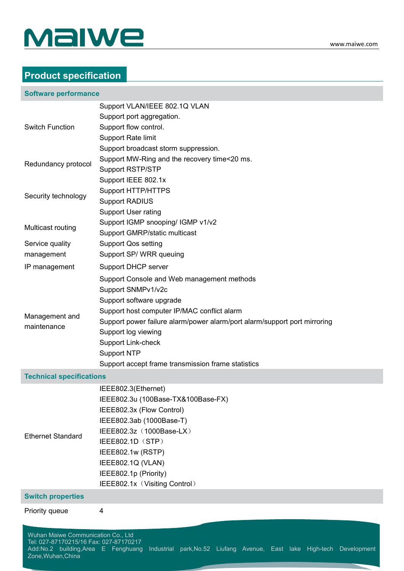

## **Product specification**

#### **Software performance**

|                                                                                                                      | Support VLAN/IEEE 802.1Q VLAN                                             |
|----------------------------------------------------------------------------------------------------------------------|---------------------------------------------------------------------------|
|                                                                                                                      | Support port aggregation.                                                 |
| <b>Switch Function</b><br>Redundancy protocol<br>Security technology                                                 | Support flow control.                                                     |
|                                                                                                                      | <b>Support Rate limit</b>                                                 |
|                                                                                                                      | Support broadcast storm suppression.                                      |
|                                                                                                                      | Support MW-Ring and the recovery time<20 ms.                              |
|                                                                                                                      | <b>Support RSTP/STP</b>                                                   |
|                                                                                                                      | Support IEEE 802.1x                                                       |
|                                                                                                                      | <b>Support HTTP/HTTPS</b>                                                 |
|                                                                                                                      | <b>Support RADIUS</b>                                                     |
|                                                                                                                      | <b>Support User rating</b>                                                |
| Multicast routing                                                                                                    | Support IGMP snooping/ IGMP v1/v2                                         |
|                                                                                                                      | Support GMRP/static multicast                                             |
| Service quality                                                                                                      | <b>Support Qos setting</b>                                                |
| management                                                                                                           | Support SP/WRR queuing                                                    |
| IP management                                                                                                        | Support DHCP server                                                       |
|                                                                                                                      | Support Console and Web management methods                                |
|                                                                                                                      | Support SNMPv1/v2c                                                        |
|                                                                                                                      | Support software upgrade                                                  |
|                                                                                                                      | Support host computer IP/MAC conflict alarm                               |
| Management and<br>maintenance                                                                                        | Support power failure alarm/power alarm/port alarm/support port mirroring |
|                                                                                                                      | Support log viewing                                                       |
|                                                                                                                      | <b>Support Link-check</b>                                                 |
|                                                                                                                      | <b>Support NTP</b>                                                        |
|                                                                                                                      | Support accept frame transmission frame statistics                        |
| <b>Technical specifications</b>                                                                                      |                                                                           |
|                                                                                                                      | IEEE802.3(Ethernet)                                                       |
|                                                                                                                      | IEEE802.3u (100Base-TX&100Base-FX)                                        |
|                                                                                                                      | IEEE802.3x (Flow Control)                                                 |
|                                                                                                                      | IEEE802.3ab (1000Base-T)                                                  |
| <b>Ethernet Standard</b>                                                                                             | IEEE802.3z (1000Base-LX)                                                  |
| IEEE802.1D (STP)<br>IEEE802.1w (RSTP)<br>IEEE802.1Q (VLAN)<br>IEEE802.1p (Priority)<br>IEEE802.1x (Visiting Control) |                                                                           |
|                                                                                                                      |                                                                           |
|                                                                                                                      |                                                                           |
|                                                                                                                      |                                                                           |
|                                                                                                                      |                                                                           |
| <b>Switch properties</b>                                                                                             |                                                                           |
| Priority queue                                                                                                       | 4                                                                         |
|                                                                                                                      |                                                                           |
| Wuhan Maiwe Communication Co., Ltd<br>Tel: 027-87170215/16 Fax: 027-87170217                                         |                                                                           |
| Add:No.2 building, Area E Fenghuang                                                                                  | Industrial park, No.52 Liufang Avenue, East lake High-tech Development    |
| Zone, Wuhan, China                                                                                                   |                                                                           |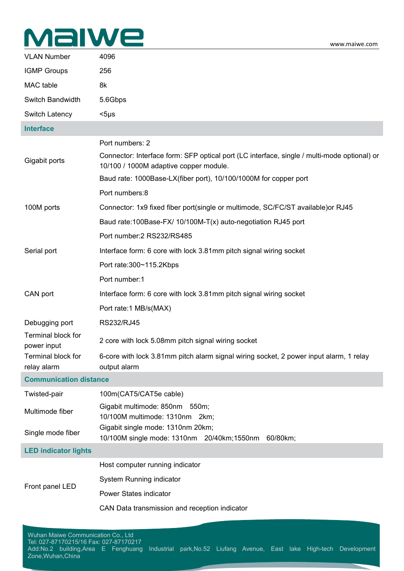# MalWe

| <b>VLAN Number</b>                | 4096                                                                                                                                  |
|-----------------------------------|---------------------------------------------------------------------------------------------------------------------------------------|
| <b>IGMP Groups</b>                | 256                                                                                                                                   |
| MAC table                         | 8k                                                                                                                                    |
| Switch Bandwidth                  | 5.6Gbps                                                                                                                               |
| Switch Latency                    | $<$ 5µs                                                                                                                               |
| <b>Interface</b>                  |                                                                                                                                       |
| Gigabit ports                     | Port numbers: 2                                                                                                                       |
|                                   | Connector: Interface form: SFP optical port (LC interface, single / multi-mode optional) or<br>10/100 / 1000M adaptive copper module. |
|                                   | Baud rate: 1000Base-LX(fiber port), 10/100/1000M for copper port                                                                      |
| 100M ports                        | Port numbers:8                                                                                                                        |
|                                   | Connector: 1x9 fixed fiber port(single or multimode, SC/FC/ST available) or RJ45                                                      |
|                                   | Baud rate:100Base-FX/ 10/100M-T(x) auto-negotiation RJ45 port                                                                         |
|                                   | Port number: 2 RS232/RS485                                                                                                            |
| Serial port                       | Interface form: 6 core with lock 3.81mm pitch signal wiring socket                                                                    |
|                                   | Port rate:300~115.2Kbps                                                                                                               |
|                                   | Port number:1                                                                                                                         |
| CAN port                          | Interface form: 6 core with lock 3.81mm pitch signal wiring socket                                                                    |
|                                   | Port rate:1 MB/s(MAX)                                                                                                                 |
| Debugging port                    | RS232/RJ45                                                                                                                            |
| Terminal block for<br>power input | 2 core with lock 5.08mm pitch signal wiring socket                                                                                    |
| Terminal block for<br>relay alarm | 6-core with lock 3.81mm pitch alarm signal wiring socket, 2 power input alarm, 1 relay<br>output alarm                                |
| <b>Communication distance</b>     |                                                                                                                                       |
| Twisted-pair                      | 100m(CAT5/CAT5e cable)                                                                                                                |
| Multimode fiber                   | Gigabit multimode: 850nm 550m;<br>10/100M multimode: 1310nm 2km;                                                                      |
| Single mode fiber                 | Gigabit single mode: 1310nm 20km;<br>10/100M single mode: 1310nm 20/40km;1550nm 60/80km;                                              |
| <b>LED indicator lights</b>       |                                                                                                                                       |
| Front panel LED                   | Host computer running indicator                                                                                                       |
|                                   | System Running indicator                                                                                                              |
|                                   | Power States indicator                                                                                                                |
|                                   | CAN Data transmission and reception indicator                                                                                         |
|                                   |                                                                                                                                       |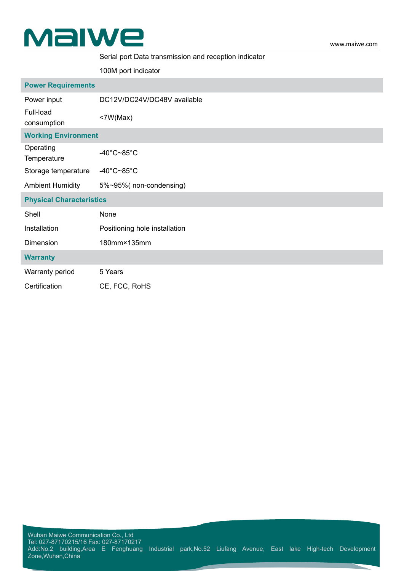

#### Serial port Data transmission and reception indicator

100M port indicator

| <b>Power Requirements</b>       |                                 |  |  |  |
|---------------------------------|---------------------------------|--|--|--|
| Power input                     | DC12V/DC24V/DC48V available     |  |  |  |
| Full-load<br>consumption        | $<$ 7W(Max)                     |  |  |  |
| <b>Working Environment</b>      |                                 |  |  |  |
| Operating<br>Temperature        | $-40^{\circ}$ C~85 $^{\circ}$ C |  |  |  |
| Storage temperature             | $-40^{\circ}$ C~85 $^{\circ}$ C |  |  |  |
| <b>Ambient Humidity</b>         | 5%~95%(non-condensing)          |  |  |  |
| <b>Physical Characteristics</b> |                                 |  |  |  |
| Shell                           | None                            |  |  |  |
| Installation                    | Positioning hole installation   |  |  |  |
| Dimension                       | 180mm×135mm                     |  |  |  |
| <b>Warranty</b>                 |                                 |  |  |  |
| Warranty period                 | 5 Years                         |  |  |  |
| Certification                   | CE, FCC, RoHS                   |  |  |  |